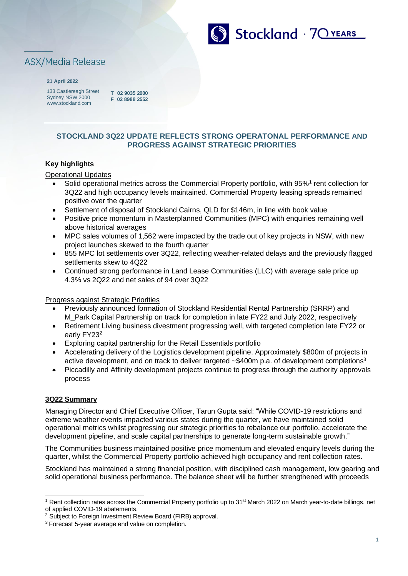

# **ASX/Media Release**

#### **21 April 2022**

133 Castlereagh Street Sydney NSW 2000 [www.stockland.com](http://www.stockland.com/)

**T 02 9035 2000 F 02 8988 2552**

## **STOCKLAND 3Q22 UPDATE REFLECTS STRONG OPERATONAL PERFORMANCE AND PROGRESS AGAINST STRATEGIC PRIORITIES**

## **Key highlights**

Operational Updates

- Solid operational metrics across the Commercial Property portfolio, with 95%<sup>1</sup> rent collection for 3Q22 and high occupancy levels maintained. Commercial Property leasing spreads remained positive over the quarter
- Settlement of disposal of Stockland Cairns, QLD for \$146m, in line with book value
- Positive price momentum in Masterplanned Communities (MPC) with enquiries remaining well above historical averages
- MPC sales volumes of 1,562 were impacted by the trade out of key projects in NSW, with new project launches skewed to the fourth quarter
- 855 MPC lot settlements over 3Q22, reflecting weather-related delays and the previously flagged settlements skew to 4Q22
- Continued strong performance in Land Lease Communities (LLC) with average sale price up 4.3% vs 2Q22 and net sales of 94 over 3Q22

#### Progress against Strategic Priorities

- Previously announced formation of Stockland Residential Rental Partnership (SRRP) and M\_Park Capital Partnership on track for completion in late FY22 and July 2022, respectively
- Retirement Living business divestment progressing well, with targeted completion late FY22 or early FY23<sup>2</sup>
- Exploring capital partnership for the Retail Essentials portfolio
- Accelerating delivery of the Logistics development pipeline. Approximately \$800m of projects in active development, and on track to deliver targeted ~\$400m p.a. of development completions<sup>3</sup>
- Piccadilly and Affinity development projects continue to progress through the authority approvals process

#### **3Q22 Summary**

Managing Director and Chief Executive Officer, Tarun Gupta said: "While COVID-19 restrictions and extreme weather events impacted various states during the quarter, we have maintained solid operational metrics whilst progressing our strategic priorities to rebalance our portfolio, accelerate the development pipeline, and scale capital partnerships to generate long-term sustainable growth."

The Communities business maintained positive price momentum and elevated enquiry levels during the quarter, whilst the Commercial Property portfolio achieved high occupancy and rent collection rates.

Stockland has maintained a strong financial position, with disciplined cash management, low gearing and solid operational business performance. The balance sheet will be further strengthened with proceeds

<sup>&</sup>lt;sup>1</sup> Rent collection rates across the Commercial Property portfolio up to 31<sup>st</sup> March 2022 on March year-to-date billings, net of applied COVID-19 abatements.

<sup>2</sup> Subject to Foreign Investment Review Board (FIRB) approval.

<sup>&</sup>lt;sup>3</sup> Forecast 5-year average end value on completion.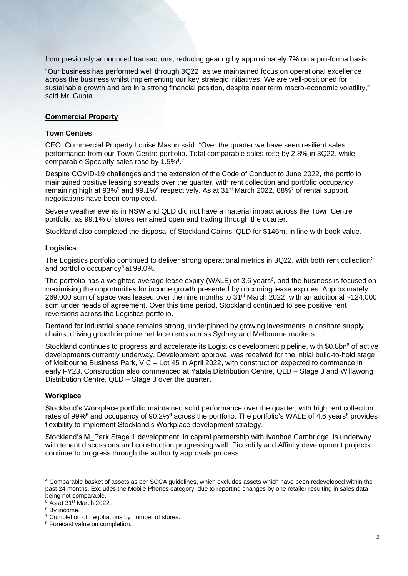from previously announced transactions, reducing gearing by approximately 7% on a pro-forma basis.

"Our business has performed well through 3Q22, as we maintained focus on operational excellence across the business whilst implementing our key strategic initiatives. We are well-positioned for sustainable growth and are in a strong financial position, despite near term macro-economic volatility," said Mr. Gupta.

#### **Commercial Property**

#### **Town Centres**

CEO, Commercial Property Louise Mason said: "Over the quarter we have seen resilient sales performance from our Town Centre portfolio. Total comparable sales rose by 2.8% in 3Q22, while comparable Specialty sales rose by 1.5%<sup>4</sup>."

Despite COVID-19 challenges and the extension of the Code of Conduct to June 2022, the portfolio maintained positive leasing spreads over the quarter, with rent collection and portfolio occupancy remaining high at 93%<sup>5</sup> and 99.1%<sup>6</sup> respectively. As at 31<sup>st</sup> March 2022, 88%<sup>7</sup> of rental support negotiations have been completed.

Severe weather events in NSW and QLD did not have a material impact across the Town Centre portfolio, as 99.1% of stores remained open and trading through the quarter.

Stockland also completed the disposal of Stockland Cairns, QLD for \$146m, in line with book value.

#### **Logistics**

The Logistics portfolio continued to deliver strong operational metrics in 3Q22, with both rent collection<sup>5</sup> and portfolio occupancy<sup>6</sup> at 99.0%.

The portfolio has a weighted average lease expiry (WALE) of 3.6 years<sup>6</sup>, and the business is focused on maximising the opportunities for income growth presented by upcoming lease expiries. Approximately 269,000 sqm of space was leased over the nine months to  $31<sup>st</sup>$  March 2022, with an additional  $~124,000$ sqm under heads of agreement. Over this time period, Stockland continued to see positive rent reversions across the Logistics portfolio.

Demand for industrial space remains strong, underpinned by growing investments in onshore supply chains, driving growth in prime net face rents across Sydney and Melbourne markets.

Stockland continues to progress and accelerate its Logistics development pipeline, with \$0.8bn<sup>8</sup> of active developments currently underway. Development approval was received for the initial build-to-hold stage of Melbourne Business Park, VIC – Lot 45 in April 2022, with construction expected to commence in early FY23. Construction also commenced at Yatala Distribution Centre, QLD – Stage 3 and Willawong Distribution Centre, QLD – Stage 3 over the quarter.

#### **Workplace**

Stockland's Workplace portfolio maintained solid performance over the quarter, with high rent collection rates of 99%<sup>5</sup> and occupancy of 90.2%<sup>6</sup> across the portfolio. The portfolio's WALE of 4.6 years<sup>6</sup> provides flexibility to implement Stockland's Workplace development strategy.

Stockland's M\_Park Stage 1 development, in capital partnership with Ivanhoé Cambridge, is underway with tenant discussions and construction progressing well. Piccadilly and Affinity development projects continue to progress through the authority approvals process.

<sup>4</sup> Comparable basket of assets as per SCCA guidelines, which excludes assets which have been redeveloped within the past 24 months. Excludes the Mobile Phones category, due to reporting changes by one retailer resulting in sales data being not comparable.

<sup>5</sup> As at 31st March 2022.

<sup>&</sup>lt;sup>6</sup> By income.

<sup>&</sup>lt;sup>7</sup> Completion of negotiations by number of stores.

<sup>8</sup> Forecast value on completion.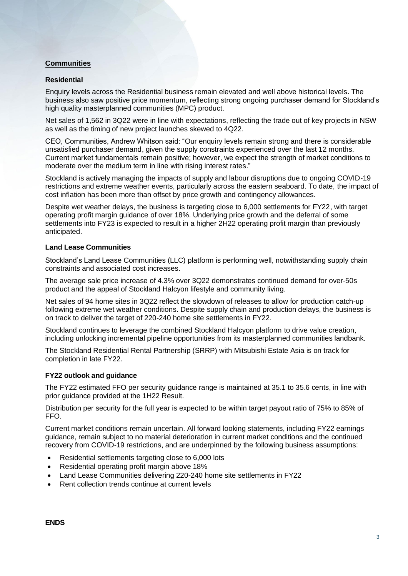## **Communities**

#### **Residential**

Enquiry levels across the Residential business remain elevated and well above historical levels. The business also saw positive price momentum, reflecting strong ongoing purchaser demand for Stockland's high quality masterplanned communities (MPC) product.

Net sales of 1,562 in 3Q22 were in line with expectations, reflecting the trade out of key projects in NSW as well as the timing of new project launches skewed to 4Q22.

CEO, Communities, Andrew Whitson said: "Our enquiry levels remain strong and there is considerable unsatisfied purchaser demand, given the supply constraints experienced over the last 12 months. Current market fundamentals remain positive; however, we expect the strength of market conditions to moderate over the medium term in line with rising interest rates."

Stockland is actively managing the impacts of supply and labour disruptions due to ongoing COVID-19 restrictions and extreme weather events, particularly across the eastern seaboard. To date, the impact of cost inflation has been more than offset by price growth and contingency allowances.

Despite wet weather delays, the business is targeting close to 6,000 settlements for FY22, with target operating profit margin guidance of over 18%. Underlying price growth and the deferral of some settlements into FY23 is expected to result in a higher 2H22 operating profit margin than previously anticipated.

#### **Land Lease Communities**

Stockland's Land Lease Communities (LLC) platform is performing well, notwithstanding supply chain constraints and associated cost increases.

The average sale price increase of 4.3% over 3Q22 demonstrates continued demand for over-50s product and the appeal of Stockland Halcyon lifestyle and community living.

Net sales of 94 home sites in 3Q22 reflect the slowdown of releases to allow for production catch-up following extreme wet weather conditions. Despite supply chain and production delays, the business is on track to deliver the target of 220-240 home site settlements in FY22.

Stockland continues to leverage the combined Stockland Halcyon platform to drive value creation, including unlocking incremental pipeline opportunities from its masterplanned communities landbank.

The Stockland Residential Rental Partnership (SRRP) with Mitsubishi Estate Asia is on track for completion in late FY22.

#### **FY22 outlook and guidance**

The FY22 estimated FFO per security guidance range is maintained at 35.1 to 35.6 cents, in line with prior guidance provided at the 1H22 Result.

Distribution per security for the full year is expected to be within target payout ratio of 75% to 85% of FFO.

Current market conditions remain uncertain. All forward looking statements, including FY22 earnings guidance, remain subject to no material deterioration in current market conditions and the continued recovery from COVID-19 restrictions, and are underpinned by the following business assumptions:

- Residential settlements targeting close to 6,000 lots
- Residential operating profit margin above 18%
- Land Lease Communities delivering 220-240 home site settlements in FY22
- Rent collection trends continue at current levels